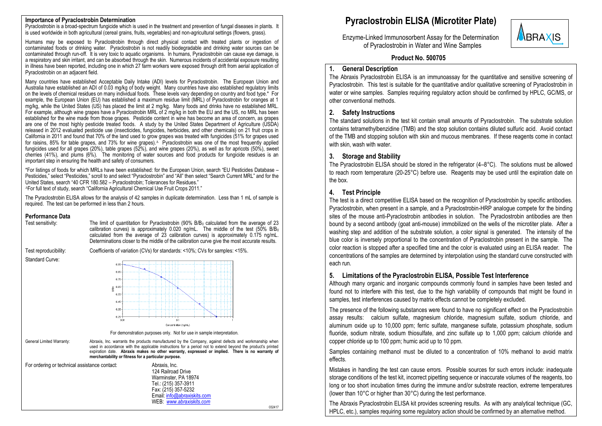#### **Importance of Pyraclostrobin Determination**

Pyraclostrobin is a broad-spectrum fungicide which is used in the treatment and prevention of fungal diseases in plants. It is used worldwide in both agricultural (cereal grains, fruits, vegetables) and non-agricultural settings (flowers, grass).

Humans may be exposed to Pyraclostrobin through direct physical contact with treated plants or ingestion of contaminated foods or drinking water. Pyraclostrobin is not readily biodegradable and drinking water sources can be contaminated through run-off. It is very toxic to aquatic organisms. In humans, Pyraclostrobin can cause eye damage, is a respiratory and skin irritant, and can be absorbed through the skin. Numerous incidents of accidental exposure resulting in illness have been reported, including one in which 27 farm workers were exposed through drift from aerial application of Pyraclostrobin on an adjacent field.

Many countries have established Acceptable Daily Intake (ADI) levels for Pyraclostrobin. The European Union and Australia have established an ADI of 0.03 mg/kg of body weight. Many countries have also established regulatory limits on the levels of chemical residues on many individual foods. These levels vary depending on country and food type.\* For example, the European Union (EU) has established a maximum residue limit (MRL) of Pyraclostrobin for oranges at 1 mg/kg, while the United States (US) has placed the limit at 2 mg/kg. Many foods and drinks have no established MRL. For example, although wine grapes have a Pyraclostrobin MRL of 2 mg/kg in both the EU and the US, no MRL has been established for the wine made from those grapes. Pesticide content in wine has become an area of concern, as grapes are one of the most highly pesticide treated foods. A study by the United States Department of Agriculture (USDA) released in 2012 evaluated pesticide use (insecticides, fungicides, herbicides, and other chemicals) on 21 fruit crops in California in 2011 and found that 70% of the land used to grow grapes was treated with fungicides (51% for grapes used for raisins, 85% for table grapes, and 73% for wine grapes).∆ Pyraclostrobin was one of the most frequently applied fungicides used for all grapes (20%), table grapes (52%), and wine grapes (20%), as well as for apricots (50%), sweet cherries (41%), and plums (6%). The monitoring of water sources and food products for fungicide residues is an important step in ensuring the health and safety of consumers.

\*For listings of foods for which MRLs have been established: for the European Union, search "EU Pesticides Database – Pesticides," select "Pesticides," scroll to and select "Pyraclostrobin" and "All" then select "Search Current MRL" and for the United States, search "40 CFR 180.582 – Pyraclostrobin; Tolerances for Residues." <sup>∆</sup>For full text of study, search "California Agricultural Chemical Use Fruit Crops 2011."

The Pyraclostrobin ELISA allows for the analysis of 42 samples in duplicate determination. Less than 1 mL of sample is required. The test can be performed in less than 2 hours.

### **Performance Data**<br>Test sensitivity:

The limit of quantitation for Pyraclostrobin (90% B/B<sub>0</sub> calculated from the average of 23 calibration curves) is approximately  $0.020$  ng/mL. The middle of the test (50% B/B<sub>0</sub> calculated from the average of  $23$  calibration curves) is approximately  $0.175$  ng/mL. Determinations closer to the middle of the calibration curve give the most accurate results.

Standard Curve:

Test reproducibility: Coefficients of variation (CVs) for standards: <10%; CVs for samples: <15%.

 $0.95$ n as  $0.75$  $rac{8}{8}$  0.65  $0.55$  $0.45$  $0.35$  $0.25 -$ ۵'n.  $0.1$ Concentration (no/ml

For demonstration purposes only. Not for use in sample interpretation.

032417

General Limited Warranty: Abraxis, Inc. warrants the products manufactured by the Company, against defects and workmanship when used in accordance with the applicable instructions for a period not to extend beyond the product's printed expiration date. **Abraxis makes no other warranty, expressed or implied. There is no warranty of merchantability or fitness for a particular purpose.**

| For ordering or technical assistance contact: | Abraxis, Inc.               |
|-----------------------------------------------|-----------------------------|
|                                               | 124 Railroad Drive          |
|                                               | Warminster, PA 18974        |
|                                               | Tel.: (215) 357-3911        |
|                                               | Fax: (215) 357-5232         |
|                                               | Email: info@abraxiskits.com |
|                                               | WEB: www.abraxiskits.com    |

 **Pyraclostrobin ELISA (Microtiter Plate)**

 Enzyme-Linked Immunosorbent Assay for the Determination of Pyraclostrobin in Water and Wine Samples



### **Product No. 500705**

### **1. General Description**

The Abraxis Pyraclostrobin ELISA is an immunoassay for the quantitative and sensitive screening of Pyraclostrobin. This test is suitable for the quantitative and/or qualitative screening of Pyraclostrobin in water or wine samples. Samples requiring regulatory action should be confirmed by HPLC, GC/MS, or other conventional methods.

### **2. Safety Instructions**

The standard solutions in the test kit contain small amounts of Pyraclostrobin. The substrate solution contains tetramethylbenzidine (TMB) and the stop solution contains diluted sulfuric acid. Avoid contact of the TMB and stopping solution with skin and mucous membranes. If these reagents come in contact with skin, wash with water.

### **3. Storage and Stability**

The Pyraclostrobin ELISA should be stored in the refrigerator (4–8°C). The solutions must be allowed to reach room temperature (20-25°C) before use. Reagents may be used until the expiration date on the box.

### **4. Test Principle**

The test is a direct competitive ELISA based on the recognition of Pyraclostrobin by specific antibodies. Pyraclostrobin, when present in a sample, and a Pyraclostrobin-HRP analogue compete for the binding sites of the mouse anti-Pyraclostrobin antibodies in solution. The Pyraclostrobin antibodies are then bound by a second antibody (goat anti-mouse) immobilized on the wells of the microtiter plate. After a washing step and addition of the substrate solution, a color signal is generated. The intensity of the blue color is inversely proportional to the concentration of Pyraclostrobin present in the sample. The color reaction is stopped after a specified time and the color is evaluated using an ELISA reader. The concentrations of the samples are determined by interpolation using the standard curve constructed with each run.

### **5. Limitations of the Pyraclostrobin ELISA, Possible Test Interference**

Although many organic and inorganic compounds commonly found in samples have been tested and found not to interfere with this test, due to the high variability of compounds that might be found in samples, test interferences caused by matrix effects cannot be completely excluded.

The presence of the following substances were found to have no significant effect on the Pyraclostrobin assay results: calcium sulfate, magnesium chloride, magnesium sulfate, sodium chloride, and aluminum oxide up to 10,000 ppm; ferric sulfate, manganese sulfate, potassium phosphate, sodium fluoride, sodium nitrate, sodium thiosulfate, and zinc sulfate up to 1,000 ppm; calcium chloride and copper chloride up to 100 ppm; humic acid up to 10 ppm.

Samples containing methanol must be diluted to a concentration of 10% methanol to avoid matrix effects.

Mistakes in handling the test can cause errors. Possible sources for such errors include: inadequate storage conditions of the test kit, incorrect pipetting sequence or inaccurate volumes of the reagents, too long or too short incubation times during the immune and/or substrate reaction, extreme temperatures (lower than 10°C or higher than 30°C) during the test performance.

The Abraxis Pyraclostrobin ELISA kit provides screening results. As with any analytical technique (GC, HPLC, etc.), samples requiring some regulatory action should be confirmed by an alternative method.